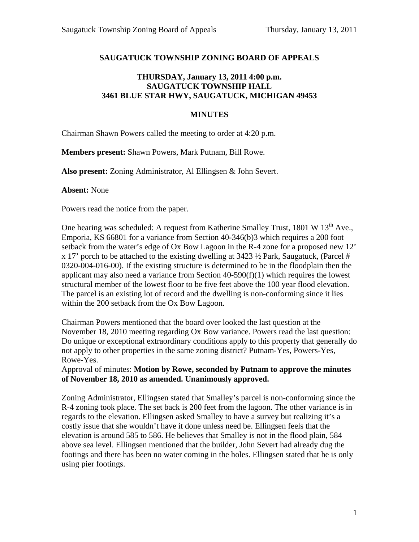## **SAUGATUCK TOWNSHIP ZONING BOARD OF APPEALS**

## **THURSDAY, January 13, 2011 4:00 p.m. SAUGATUCK TOWNSHIP HALL 3461 BLUE STAR HWY, SAUGATUCK, MICHIGAN 49453**

## **MINUTES**

Chairman Shawn Powers called the meeting to order at 4:20 p.m.

**Members present:** Shawn Powers, Mark Putnam, Bill Rowe.

**Also present:** Zoning Administrator, Al Ellingsen & John Severt.

**Absent:** None

Powers read the notice from the paper.

One hearing was scheduled: A request from Katherine Smalley Trust,  $1801 \text{ W } 13^{\text{th}}$  Ave., Emporia, KS 66801 for a variance from Section 40-346(b)3 which requires a 200 foot setback from the water's edge of Ox Bow Lagoon in the R-4 zone for a proposed new 12' x 17' porch to be attached to the existing dwelling at 3423 ½ Park, Saugatuck, (Parcel # 0320-004-016-00). If the existing structure is determined to be in the floodplain then the applicant may also need a variance from Section  $40-590(f)(1)$  which requires the lowest structural member of the lowest floor to be five feet above the 100 year flood elevation. The parcel is an existing lot of record and the dwelling is non-conforming since it lies within the 200 setback from the Ox Bow Lagoon.

Chairman Powers mentioned that the board over looked the last question at the November 18, 2010 meeting regarding Ox Bow variance. Powers read the last question: Do unique or exceptional extraordinary conditions apply to this property that generally do not apply to other properties in the same zoning district? Putnam-Yes, Powers-Yes, Rowe-Yes.

Approval of minutes: **Motion by Rowe, seconded by Putnam to approve the minutes of November 18, 2010 as amended. Unanimously approved.** 

Zoning Administrator, Ellingsen stated that Smalley's parcel is non-conforming since the R-4 zoning took place. The set back is 200 feet from the lagoon. The other variance is in regards to the elevation. Ellingsen asked Smalley to have a survey but realizing it's a costly issue that she wouldn't have it done unless need be. Ellingsen feels that the elevation is around 585 to 586. He believes that Smalley is not in the flood plain, 584 above sea level. Ellingsen mentioned that the builder, John Severt had already dug the footings and there has been no water coming in the holes. Ellingsen stated that he is only using pier footings.